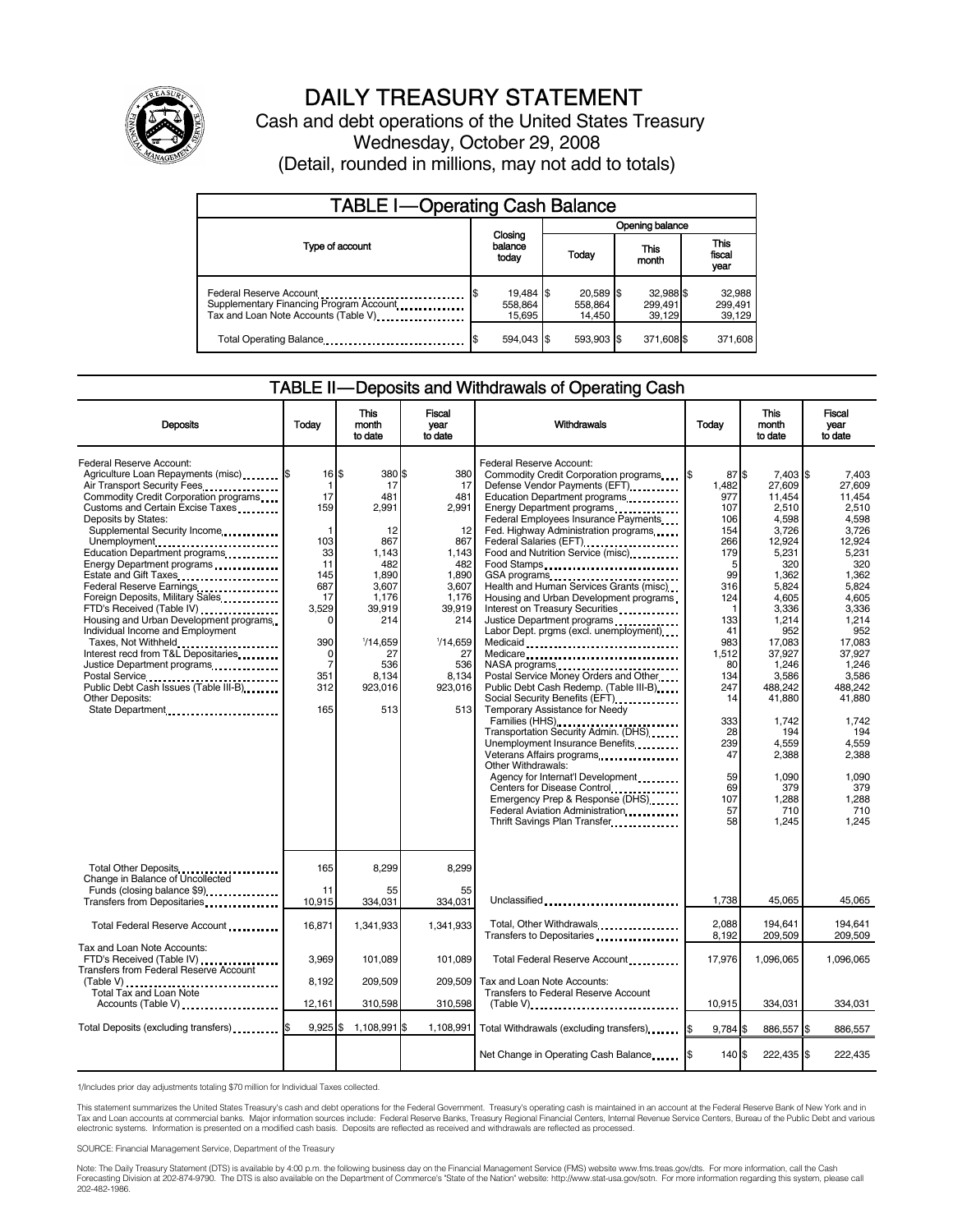

# DAILY TREASURY STATEMENT

Cash and debt operations of the United States Treasury Wednesday, October 29, 2008 (Detail, rounded in millions, may not add to totals)

| <b>TABLE I-Operating Cash Balance</b>                                                                       |                                |                                |                                |                               |  |  |  |  |
|-------------------------------------------------------------------------------------------------------------|--------------------------------|--------------------------------|--------------------------------|-------------------------------|--|--|--|--|
|                                                                                                             |                                | Opening balance                |                                |                               |  |  |  |  |
| Type of account                                                                                             | Closing<br>balance<br>today    | Today                          | This<br>month                  | <b>This</b><br>fiscal<br>year |  |  |  |  |
| Federal Reserve Account<br>Supplementary Financing Program Account<br>Tax and Loan Note Accounts (Table V). | 19,484 \$<br>558.864<br>15.695 | 20,589 \$<br>558.864<br>14,450 | 32,988 \$<br>299,491<br>39.129 | 32,988<br>299,491<br>39,129   |  |  |  |  |
| Total Operating Balance                                                                                     | 594.043 \$                     | 593.903 \$                     | 371,608 \$                     | 371,608                       |  |  |  |  |

#### TABLE II — Deposits and Withdrawals of Operating Cash

| <b>Deposits</b>                                                                                                                                                                                                                                                                                                                                                                                                                                                                                                                                                                                                                                                                       | Today                                                                                                                                                               | <b>This</b><br>month<br>to date                                                                                                                           | <b>Fiscal</b><br>year<br>to date                                                                                                                                 | <b>Withdrawals</b>                                                                                                                                                                                                                                                                                                                                                                                                                                                                                                                                                                                                                                                                                                                                                                                                                                                                                                                                                                                                                       | Today                                                                                                                                                                                                   | <b>This</b><br>month<br>to date                                                                                                                                                                                                                                             | <b>Fiscal</b><br>vear<br>to date                                                                                                                                                                                                                                         |
|---------------------------------------------------------------------------------------------------------------------------------------------------------------------------------------------------------------------------------------------------------------------------------------------------------------------------------------------------------------------------------------------------------------------------------------------------------------------------------------------------------------------------------------------------------------------------------------------------------------------------------------------------------------------------------------|---------------------------------------------------------------------------------------------------------------------------------------------------------------------|-----------------------------------------------------------------------------------------------------------------------------------------------------------|------------------------------------------------------------------------------------------------------------------------------------------------------------------|------------------------------------------------------------------------------------------------------------------------------------------------------------------------------------------------------------------------------------------------------------------------------------------------------------------------------------------------------------------------------------------------------------------------------------------------------------------------------------------------------------------------------------------------------------------------------------------------------------------------------------------------------------------------------------------------------------------------------------------------------------------------------------------------------------------------------------------------------------------------------------------------------------------------------------------------------------------------------------------------------------------------------------------|---------------------------------------------------------------------------------------------------------------------------------------------------------------------------------------------------------|-----------------------------------------------------------------------------------------------------------------------------------------------------------------------------------------------------------------------------------------------------------------------------|--------------------------------------------------------------------------------------------------------------------------------------------------------------------------------------------------------------------------------------------------------------------------|
| Federal Reserve Account:<br>Agriculture Loan Repayments (misc) \$<br>Air Transport Security Fees.<br>Commodity Credit Corporation programs<br>Customs and Certain Excise Taxes<br>Deposits by States:<br>Supplemental Security Income<br>Unemployment<br>Education Department programs<br>Energy Department programs<br>Federal Reserve Earnings.<br>Foreign Deposits, Military Sales.<br>FTD's Received (Table IV)<br>Housing and Urban Development programs<br>Individual Income and Employment<br>Taxes, Not Withheld<br>Interest recd from T&L Depositaries<br>Justice Department programs<br>Public Debt Cash Issues (Table III-B)<br><b>Other Deposits:</b><br>State Department | $16$ $\frac{1}{3}$<br>$\mathbf{1}$<br>17<br>159<br>1<br>103<br>33<br>11<br>145<br>687<br>17<br>3,529<br>0<br>390<br>$\Omega$<br>$\overline{7}$<br>351<br>312<br>165 | 380 \$<br>17<br>481<br>2.991<br>12<br>867<br>1.143<br>482<br>1.890<br>3.607<br>1.176<br>39,919<br>214<br>1/14.659<br>27<br>536<br>8.134<br>923,016<br>513 | 380<br>17<br>481<br>2.991<br>12<br>867<br>1.143<br>482<br>1,890<br>3,607<br>1.176<br>39,919<br>214<br>$\frac{1}{14.659}$<br>27<br>536<br>8.134<br>923,016<br>513 | Federal Reserve Account:<br>Commodity Credit Corporation programs \ \ \ \ \ \<br>Defense Vendor Payments (EFT)<br>Education Department programs<br>Energy Department programs<br>Federal Employees Insurance Payments<br>Fed. Highway Administration programs<br>Federal Salaries (EFT)<br>Food and Nutrition Service (misc)<br>Food Stamps<br>GSA programs<br><br>Health and Human Services Grants (misc)<br>Housing and Urban Development programs<br>Interest on Treasury Securities<br>Justice Department programs<br>Labor Dept. prgms (excl. unemployment)<br>Medicaid<br>Medicare<br>Postal Service Money Orders and Other<br>Public Debt Cash Redemp. (Table III-B)<br>Temporary Assistance for Needy<br>Families (HHS)<br>Transportation Security Admin. (DHS)<br>Unemployment Insurance Benefits<br>Veterans Affairs programs<br>Other Withdrawals:<br>Agency for Internat'l Development.<br>Centers for Disease Control<br>Emergency Prep & Response (DHS)<br>Federal Aviation Administration<br>Thrift Savings Plan Transfer | 87 \$<br>1,482<br>977<br>107<br>106<br>154<br>266<br>179<br>5<br>99<br>316<br>124<br>-1<br>133<br>41<br>983<br>1,512<br>80<br>134<br>247<br>14<br>333<br>28<br>239<br>47<br>59<br>69<br>107<br>57<br>58 | 7,403 \$<br>27,609<br>11,454<br>2,510<br>4,598<br>3,726<br>12,924<br>5,231<br>320<br>1,362<br>5,824<br>4.605<br>3,336<br>1,214<br>952<br>17.083<br>37.927<br>1,246<br>3.586<br>488,242<br>41.880<br>1.742<br>194<br>4.559<br>2,388<br>1.090<br>379<br>1,288<br>710<br>1,245 | 7,403<br>27.609<br>11.454<br>2.510<br>4,598<br>3,726<br>12.924<br>5,231<br>320<br>1.362<br>5.824<br>4.605<br>3,336<br>1,214<br>952<br>17.083<br>37.927<br>1.246<br>3.586<br>488.242<br>41.880<br>1.742<br>194<br>4.559<br>2,388<br>1.090<br>379<br>1,288<br>710<br>1.245 |
| Total Other Deposits<br>Change in Balance of Uncollected<br>Funds (closing balance \$9)                                                                                                                                                                                                                                                                                                                                                                                                                                                                                                                                                                                               | 165<br>11                                                                                                                                                           | 8,299<br>55                                                                                                                                               | 8,299<br>55                                                                                                                                                      |                                                                                                                                                                                                                                                                                                                                                                                                                                                                                                                                                                                                                                                                                                                                                                                                                                                                                                                                                                                                                                          |                                                                                                                                                                                                         |                                                                                                                                                                                                                                                                             |                                                                                                                                                                                                                                                                          |
| Transfers from Depositaries                                                                                                                                                                                                                                                                                                                                                                                                                                                                                                                                                                                                                                                           | 10,915                                                                                                                                                              | 334,031                                                                                                                                                   | 334,031                                                                                                                                                          | Unclassified                                                                                                                                                                                                                                                                                                                                                                                                                                                                                                                                                                                                                                                                                                                                                                                                                                                                                                                                                                                                                             | 1,738                                                                                                                                                                                                   | 45,065                                                                                                                                                                                                                                                                      | 45,065                                                                                                                                                                                                                                                                   |
| Total Federal Reserve Account                                                                                                                                                                                                                                                                                                                                                                                                                                                                                                                                                                                                                                                         | 16,871                                                                                                                                                              | 1,341,933                                                                                                                                                 | 1,341,933                                                                                                                                                        | Total, Other Withdrawals<br>Transfers to Depositaries                                                                                                                                                                                                                                                                                                                                                                                                                                                                                                                                                                                                                                                                                                                                                                                                                                                                                                                                                                                    | 2,088<br>8,192                                                                                                                                                                                          | 194,641<br>209,509                                                                                                                                                                                                                                                          | 194,641<br>209,509                                                                                                                                                                                                                                                       |
| Tax and Loan Note Accounts:<br>FTD's Received (Table IV)<br>Transfers from Federal Reserve Account                                                                                                                                                                                                                                                                                                                                                                                                                                                                                                                                                                                    | 3,969<br>8.192                                                                                                                                                      | 101,089                                                                                                                                                   | 101,089                                                                                                                                                          | Total Federal Reserve Account<br>Tax and Loan Note Accounts:                                                                                                                                                                                                                                                                                                                                                                                                                                                                                                                                                                                                                                                                                                                                                                                                                                                                                                                                                                             | 17,976                                                                                                                                                                                                  | 1,096,065                                                                                                                                                                                                                                                                   | 1,096,065                                                                                                                                                                                                                                                                |
| Total Tax and Loan Note<br>Accounts (Table V)                                                                                                                                                                                                                                                                                                                                                                                                                                                                                                                                                                                                                                         | 12,161                                                                                                                                                              | 209,509<br>310,598                                                                                                                                        | 209,509<br>310,598                                                                                                                                               | Transfers to Federal Reserve Account<br>(Table V)                                                                                                                                                                                                                                                                                                                                                                                                                                                                                                                                                                                                                                                                                                                                                                                                                                                                                                                                                                                        | 10,915                                                                                                                                                                                                  | 334,031                                                                                                                                                                                                                                                                     | 334,031                                                                                                                                                                                                                                                                  |
| Total Deposits (excluding transfers) <b>S</b>                                                                                                                                                                                                                                                                                                                                                                                                                                                                                                                                                                                                                                         | $9,925$ \$                                                                                                                                                          | 1,108,991 \$                                                                                                                                              | 1,108,991                                                                                                                                                        | Total Withdrawals (excluding transfers) [\$                                                                                                                                                                                                                                                                                                                                                                                                                                                                                                                                                                                                                                                                                                                                                                                                                                                                                                                                                                                              | $9,784$ \$                                                                                                                                                                                              | 886,557 \$                                                                                                                                                                                                                                                                  | 886,557                                                                                                                                                                                                                                                                  |
|                                                                                                                                                                                                                                                                                                                                                                                                                                                                                                                                                                                                                                                                                       |                                                                                                                                                                     |                                                                                                                                                           |                                                                                                                                                                  |                                                                                                                                                                                                                                                                                                                                                                                                                                                                                                                                                                                                                                                                                                                                                                                                                                                                                                                                                                                                                                          |                                                                                                                                                                                                         |                                                                                                                                                                                                                                                                             |                                                                                                                                                                                                                                                                          |
|                                                                                                                                                                                                                                                                                                                                                                                                                                                                                                                                                                                                                                                                                       |                                                                                                                                                                     |                                                                                                                                                           |                                                                                                                                                                  |                                                                                                                                                                                                                                                                                                                                                                                                                                                                                                                                                                                                                                                                                                                                                                                                                                                                                                                                                                                                                                          | 140 \$                                                                                                                                                                                                  | 222,435 \$                                                                                                                                                                                                                                                                  | 222,435                                                                                                                                                                                                                                                                  |

1/Includes prior day adjustments totaling \$70 million for Individual Taxes collected.

This statement summarizes the United States Treasury's cash and debt operations for the Federal Government. Treasury's operating cash is maintained in an account at the Federal Reserve Bank of New York and in<br>Tax and Loan electronic systems. Information is presented on a modified cash basis. Deposits are reflected as received and withdrawals are reflected as processed.

SOURCE: Financial Management Service, Department of the Treasury

Note: The Daily Treasury Statement (DTS) is available by 4:00 p.m. the following business day on the Financial Management Service (FMS) website www.fms.treas.gov/dts. For more information, call the Cash<br>Forecasting Divisio 202-482-1986.